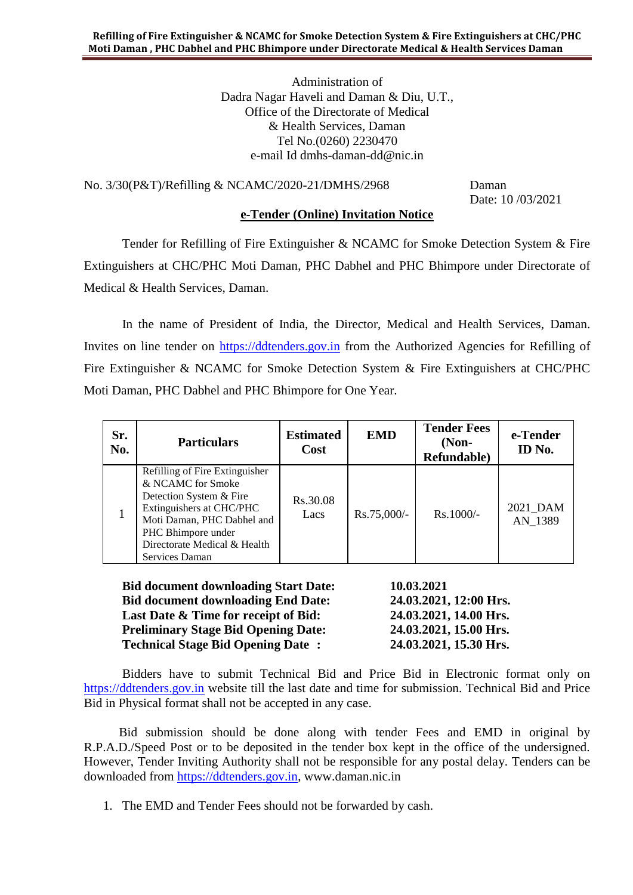Administration of Dadra Nagar Haveli and Daman & Diu, U.T., Office of the Directorate of Medical & Health Services, Daman Tel No.(0260) 2230470 e-mail Id dmhs-daman-dd@nic.in

No. 3/30(P&T)/Refilling & NCAMC/2020-21/DMHS/2968 Daman

Date: 10 /03/2021

### **e-Tender (Online) Invitation Notice**

Tender for Refilling of Fire Extinguisher & NCAMC for Smoke Detection System & Fire Extinguishers at CHC/PHC Moti Daman, PHC Dabhel and PHC Bhimpore under Directorate of Medical & Health Services, Daman.

In the name of President of India, the Director, Medical and Health Services, Daman. Invites on line tender on [https://ddtenders.gov.in](https://www.nprocure.com/) from the Authorized Agencies for Refilling of Fire Extinguisher & NCAMC for Smoke Detection System & Fire Extinguishers at CHC/PHC Moti Daman, PHC Dabhel and PHC Bhimpore for One Year.

| Sr.<br>No. | <b>Particulars</b>                                                                                                                                                                                               | <b>Estimated</b><br><b>Cost</b> | <b>EMD</b>  | <b>Tender Fees</b><br>$(Non-$<br>Refundable) | e-Tender<br>ID No.  |
|------------|------------------------------------------------------------------------------------------------------------------------------------------------------------------------------------------------------------------|---------------------------------|-------------|----------------------------------------------|---------------------|
|            | Refilling of Fire Extinguisher<br>& NCAMC for Smoke<br>Detection System & Fire<br>Extinguishers at CHC/PHC<br>Moti Daman, PHC Dabhel and<br>PHC Bhimpore under<br>Directorate Medical & Health<br>Services Daman | Rs.30.08<br>Lacs                | Rs.75,000/- | Rs.1000/-                                    | 2021 DAM<br>AN 1389 |

**Bid document downloading Start Date: 10.03.2021 Bid document downloading End Date: 24.03.2021, 12:00 Hrs. Last Date & Time for receipt of Bid: 24.03.2021, 14.00 Hrs. Preliminary Stage Bid Opening Date: 24.03.2021, 15.00 Hrs. Technical Stage Bid Opening Date : 24.03.2021, 15.30 Hrs.**

Bidders have to submit Technical Bid and Price Bid in Electronic format only on [https://ddtenders.gov.in](https://www.nprocure.com/) website till the last date and time for submission. Technical Bid and Price Bid in Physical format shall not be accepted in any case.

 Bid submission should be done along with tender Fees and EMD in original by R.P.A.D./Speed Post or to be deposited in the tender box kept in the office of the undersigned. However, Tender Inviting Authority shall not be responsible for any postal delay. Tenders can be downloaded from [https://ddtenders.gov.in,](https://www.nprocure.com/) www.daman.nic.in

1. The EMD and Tender Fees should not be forwarded by cash.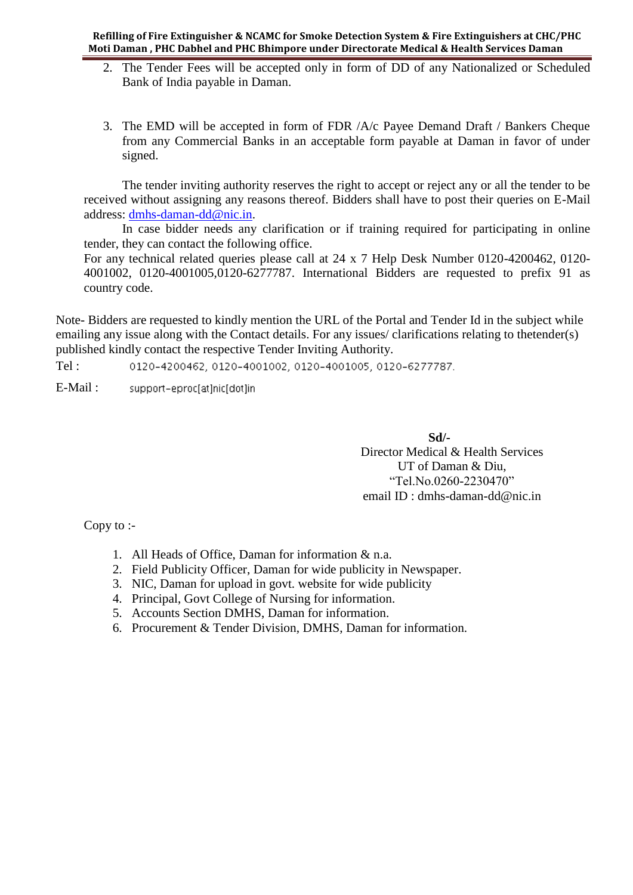- 2. The Tender Fees will be accepted only in form of DD of any Nationalized or Scheduled Bank of India payable in Daman.
- 3. The EMD will be accepted in form of FDR /A/c Payee Demand Draft / Bankers Cheque from any Commercial Banks in an acceptable form payable at Daman in favor of under signed.

The tender inviting authority reserves the right to accept or reject any or all the tender to be received without assigning any reasons thereof. Bidders shall have to post their queries on E-Mail address: [dmhs-daman-dd@nic.in.](mailto:dmhs-daman-dd@nic.in)

In case bidder needs any clarification or if training required for participating in online tender, they can contact the following office.

For any technical related queries please call at 24 x 7 Help Desk Number 0120-4200462, 0120- 4001002, 0120-4001005,0120-6277787. International Bidders are requested to prefix 91 as country code.

Note- Bidders are requested to kindly mention the URL of the Portal and Tender Id in the subject while emailing any issue along with the Contact details. For any issues/ clarifications relating to thetender(s) published kindly contact the respective Tender Inviting Authority.

Tel : 0120-4200462, 0120-4001002, 0120-4001005, 0120-6277787.

E-Mail : support-eproc[at]nic[dot]in

> **Sd/-** Director Medical & Health Services UT of Daman & Diu, "Tel.No.0260-2230470" email ID : dmhs-daman-dd@nic.in

Copy to :-

- 1. All Heads of Office, Daman for information & n.a.
- 2. Field Publicity Officer, Daman for wide publicity in Newspaper.
- 3. NIC, Daman for upload in govt. website for wide publicity
- 4. Principal, Govt College of Nursing for information.
- 5. Accounts Section DMHS, Daman for information.
- 6. Procurement & Tender Division, DMHS, Daman for information.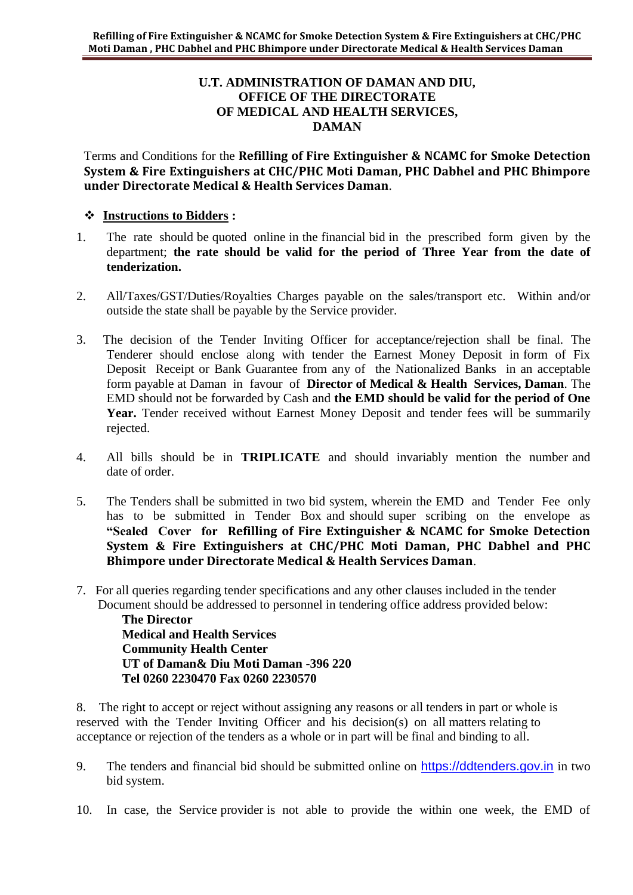### **U.T. ADMINISTRATION OF DAMAN AND DIU, OFFICE OF THE DIRECTORATE OF MEDICAL AND HEALTH SERVICES, DAMAN**

Terms and Conditions for the **Refilling of Fire Extinguisher & NCAMC for Smoke Detection System & Fire Extinguishers at CHC/PHC Moti Daman, PHC Dabhel and PHC Bhimpore under Directorate Medical & Health Services Daman**.

## **Instructions to Bidders :**

- 1. The rate should be quoted online in the financial bid in the prescribed form given by the department; **the rate should be valid for the period of Three Year from the date of tenderization.**
- 2. All/Taxes/GST/Duties/Royalties Charges payable on the sales/transport etc. Within and/or outside the state shall be payable by the Service provider.
- 3. The decision of the Tender Inviting Officer for acceptance/rejection shall be final. The Tenderer should enclose along with tender the Earnest Money Deposit in form of Fix Deposit Receipt or Bank Guarantee from any of the Nationalized Banks in an acceptable form payable at Daman in favour of **Director of Medical & Health Services, Daman**. The EMD should not be forwarded by Cash and **the EMD should be valid for the period of One**  Year. Tender received without Earnest Money Deposit and tender fees will be summarily rejected.
- 4. All bills should be in **TRIPLICATE** and should invariably mention the number and date of order.
- 5. The Tenders shall be submitted in two bid system, wherein the EMD and Tender Fee only has to be submitted in Tender Box and should super scribing on the envelope as **"Sealed Cover for Refilling of Fire Extinguisher & NCAMC for Smoke Detection System & Fire Extinguishers at CHC/PHC Moti Daman, PHC Dabhel and PHC Bhimpore under Directorate Medical & Health Services Daman**.
- 7. For all queries regarding tender specifications and any other clauses included in the tender Document should be addressed to personnel in tendering office address provided below:

**The Director Medical and Health Services Community Health Center UT of Daman& Diu Moti Daman -396 220 Tel 0260 2230470 Fax 0260 2230570**

8. The right to accept or reject without assigning any reasons or all tenders in part or whole is reserved with the Tender Inviting Officer and his decision(s) on all matters relating to acceptance or rejection of the tenders as a whole or in part will be final and binding to all.

- 9. The tenders and financial bid should be submitted online on [https://ddtenders.gov.in](http://www.nprocure.com/) in two bid system.
- 10. In case, the Service provider is not able to provide the within one week, the EMD of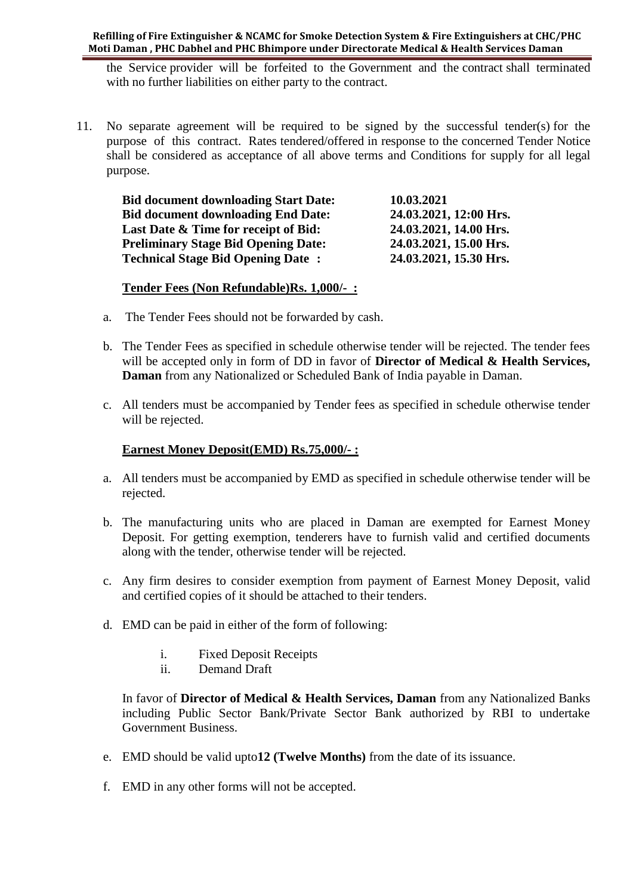**Refilling of Fire Extinguisher & NCAMC for Smoke Detection System & Fire Extinguishers at CHC/PHC Moti Daman , PHC Dabhel and PHC Bhimpore under Directorate Medical & Health Services Daman** 

the Service provider will be forfeited to the Government and the contract shall terminated with no further liabilities on either party to the contract.

11. No separate agreement will be required to be signed by the successful tender(s) for the purpose of this contract. Rates tendered/offered in response to the concerned Tender Notice shall be considered as acceptance of all above terms and Conditions for supply for all legal purpose.

| <b>Bid document downloading Start Date:</b> | 10.03.2021             |
|---------------------------------------------|------------------------|
| <b>Bid document downloading End Date:</b>   | 24.03.2021, 12:00 Hrs. |
| Last Date & Time for receipt of Bid:        | 24.03.2021, 14.00 Hrs. |
| <b>Preliminary Stage Bid Opening Date:</b>  | 24.03.2021, 15.00 Hrs. |
| <b>Technical Stage Bid Opening Date:</b>    | 24.03.2021, 15.30 Hrs. |

#### **Tender Fees (Non Refundable)Rs. 1,000/- :**

- a. The Tender Fees should not be forwarded by cash.
- b. The Tender Fees as specified in schedule otherwise tender will be rejected. The tender fees will be accepted only in form of DD in favor of **Director of Medical & Health Services, Daman** from any Nationalized or Scheduled Bank of India payable in Daman.
- c. All tenders must be accompanied by Tender fees as specified in schedule otherwise tender will be rejected.

### **Earnest Money Deposit(EMD) Rs.75,000/- :**

- a. All tenders must be accompanied by EMD as specified in schedule otherwise tender will be rejected.
- b. The manufacturing units who are placed in Daman are exempted for Earnest Money Deposit. For getting exemption, tenderers have to furnish valid and certified documents along with the tender, otherwise tender will be rejected.
- c. Any firm desires to consider exemption from payment of Earnest Money Deposit, valid and certified copies of it should be attached to their tenders.
- d. EMD can be paid in either of the form of following:
	- i. Fixed Deposit Receipts
	- ii. Demand Draft

In favor of **Director of Medical & Health Services, Daman** from any Nationalized Banks including Public Sector Bank/Private Sector Bank authorized by RBI to undertake Government Business.

- e. EMD should be valid upto**12 (Twelve Months)** from the date of its issuance.
- f. EMD in any other forms will not be accepted.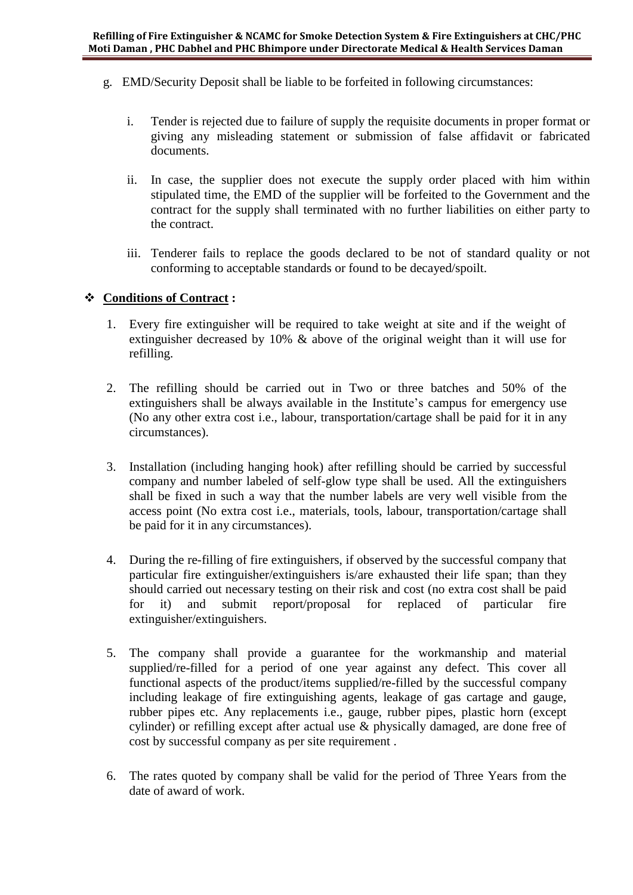- g. EMD/Security Deposit shall be liable to be forfeited in following circumstances:
	- i. Tender is rejected due to failure of supply the requisite documents in proper format or giving any misleading statement or submission of false affidavit or fabricated documents.
	- ii. In case, the supplier does not execute the supply order placed with him within stipulated time, the EMD of the supplier will be forfeited to the Government and the contract for the supply shall terminated with no further liabilities on either party to the contract.
	- iii. Tenderer fails to replace the goods declared to be not of standard quality or not conforming to acceptable standards or found to be decayed/spoilt.

### **Conditions of Contract :**

- 1. Every fire extinguisher will be required to take weight at site and if the weight of extinguisher decreased by 10% & above of the original weight than it will use for refilling.
- 2. The refilling should be carried out in Two or three batches and 50% of the extinguishers shall be always available in the Institute's campus for emergency use (No any other extra cost i.e., labour, transportation/cartage shall be paid for it in any circumstances).
- 3. Installation (including hanging hook) after refilling should be carried by successful company and number labeled of self-glow type shall be used. All the extinguishers shall be fixed in such a way that the number labels are very well visible from the access point (No extra cost i.e., materials, tools, labour, transportation/cartage shall be paid for it in any circumstances).
- 4. During the re-filling of fire extinguishers, if observed by the successful company that particular fire extinguisher/extinguishers is/are exhausted their life span; than they should carried out necessary testing on their risk and cost (no extra cost shall be paid for it) and submit report/proposal for replaced of particular fire extinguisher/extinguishers.
- 5. The company shall provide a guarantee for the workmanship and material supplied/re-filled for a period of one year against any defect. This cover all functional aspects of the product/items supplied/re-filled by the successful company including leakage of fire extinguishing agents, leakage of gas cartage and gauge, rubber pipes etc. Any replacements i.e., gauge, rubber pipes, plastic horn (except cylinder) or refilling except after actual use & physically damaged, are done free of cost by successful company as per site requirement .
- 6. The rates quoted by company shall be valid for the period of Three Years from the date of award of work.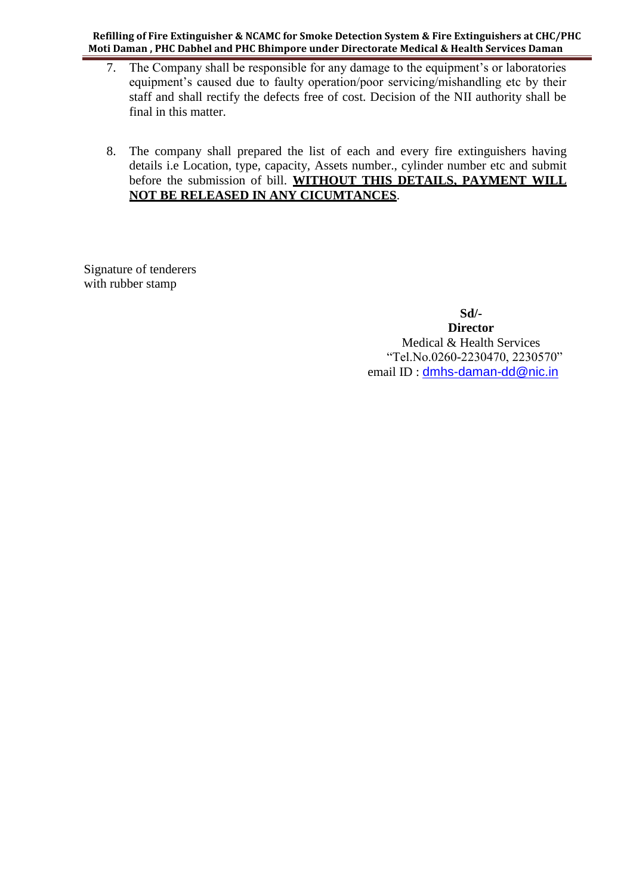**Refilling of Fire Extinguisher & NCAMC for Smoke Detection System & Fire Extinguishers at CHC/PHC Moti Daman , PHC Dabhel and PHC Bhimpore under Directorate Medical & Health Services Daman** 

- 7. The Company shall be responsible for any damage to the equipment's or laboratories equipment's caused due to faulty operation/poor servicing/mishandling etc by their staff and shall rectify the defects free of cost. Decision of the NII authority shall be final in this matter.
- 8. The company shall prepared the list of each and every fire extinguishers having details i.e Location, type, capacity, Assets number., cylinder number etc and submit before the submission of bill. **WITHOUT THIS DETAILS, PAYMENT WILL NOT BE RELEASED IN ANY CICUMTANCES**.

Signature of tenderers with rubber stamp

> **Sd/- Director** Medical & Health Services "Tel.No.0260-2230470, 2230570" email ID : [dmhs-daman-dd@nic.in](mailto:dmhs-daman-dd@nic.in)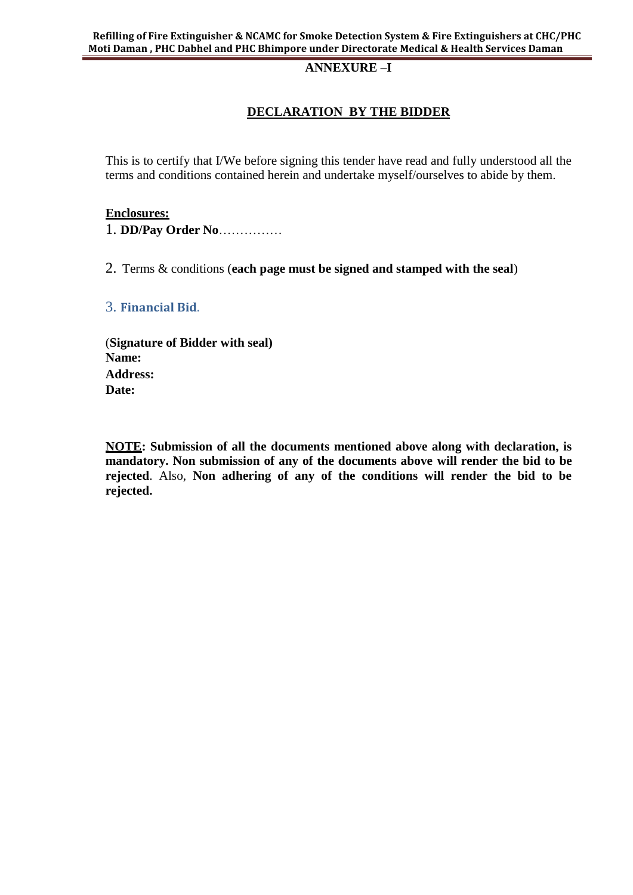### **ANNEXURE –I**

## **DECLARATION BY THE BIDDER**

This is to certify that I/We before signing this tender have read and fully understood all the terms and conditions contained herein and undertake myself/ourselves to abide by them.

#### **Enclosures:**

1. **DD/Pay Order No**……………

2. Terms & conditions (**each page must be signed and stamped with the seal**)

#### 3. **Financial Bid**.

(**Signature of Bidder with seal) Name: Address: Date:**

**NOTE: Submission of all the documents mentioned above along with declaration, is mandatory. Non submission of any of the documents above will render the bid to be rejected**. Also, **Non adhering of any of the conditions will render the bid to be rejected.**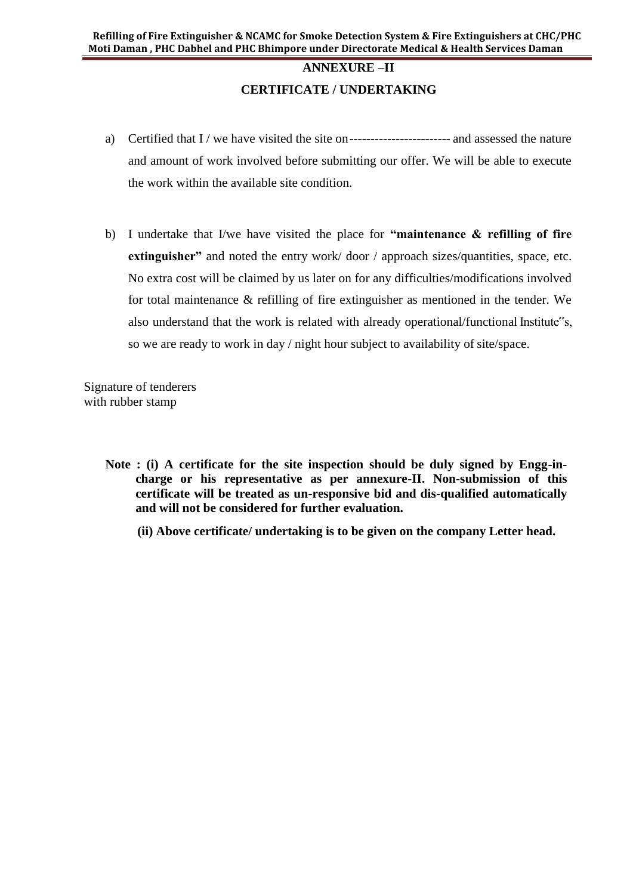# **ANNEXURE –II CERTIFICATE / UNDERTAKING**

- a) Certified that I / we have visited the site on------------------------ and assessed the nature and amount of work involved before submitting our offer. We will be able to execute the work within the available site condition.
- b) I undertake that I/we have visited the place for **"maintenance & refilling of fire extinguisher"** and noted the entry work/door / approach sizes/quantities, space, etc. No extra cost will be claimed by us later on for any difficulties/modifications involved for total maintenance & refilling of fire extinguisher as mentioned in the tender. We also understand that the work is related with already operational/functional Institute"s, so we are ready to work in day / night hour subject to availability of site/space.

Signature of tenderers with rubber stamp

- **Note : (i) A certificate for the site inspection should be duly signed by Engg-incharge or his representative as per annexure-II. Non-submission of this certificate will be treated as un-responsive bid and dis-qualified automatically and will not be considered for further evaluation.**
	- **(ii) Above certificate/ undertaking is to be given on the company Letter head.**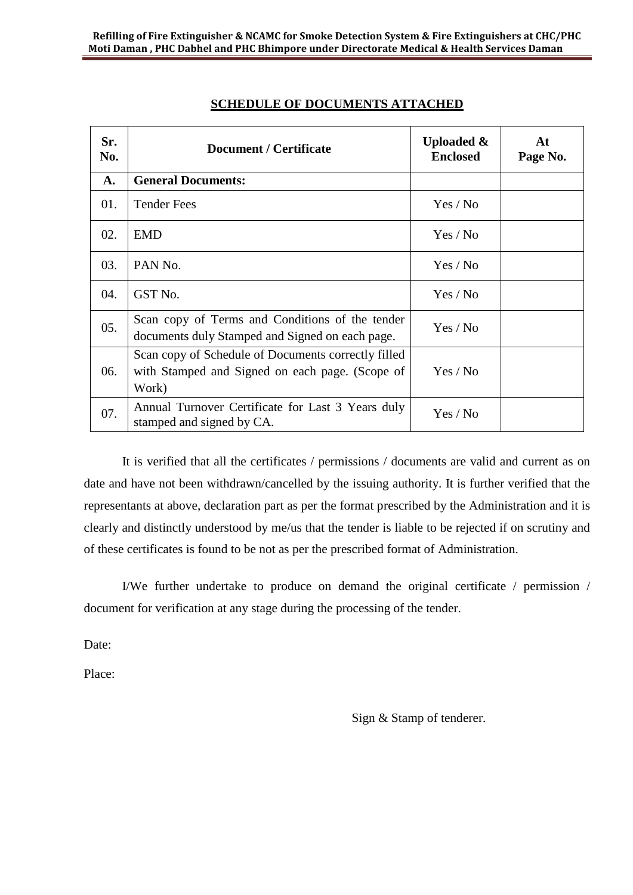| Sr.<br>No. | <b>Document / Certificate</b>                                                                                   | Uploaded &<br><b>Enclosed</b> | At<br>Page No. |
|------------|-----------------------------------------------------------------------------------------------------------------|-------------------------------|----------------|
| A.         | <b>General Documents:</b>                                                                                       |                               |                |
| 01.        | <b>Tender Fees</b>                                                                                              | Yes / No                      |                |
| 02.        | <b>EMD</b>                                                                                                      | Yes / No                      |                |
| 03.        | PAN No.                                                                                                         | Yes / No                      |                |
| 04.        | GST No.                                                                                                         | Yes / No                      |                |
| 05.        | Scan copy of Terms and Conditions of the tender<br>documents duly Stamped and Signed on each page.              | Yes / No                      |                |
| 06.        | Scan copy of Schedule of Documents correctly filled<br>with Stamped and Signed on each page. (Scope of<br>Work) | Yes / No                      |                |
| 07.        | Annual Turnover Certificate for Last 3 Years duly<br>stamped and signed by CA.                                  | Yes / No                      |                |

# **SCHEDULE OF DOCUMENTS ATTACHED**

It is verified that all the certificates / permissions / documents are valid and current as on date and have not been withdrawn/cancelled by the issuing authority. It is further verified that the representants at above, declaration part as per the format prescribed by the Administration and it is clearly and distinctly understood by me/us that the tender is liable to be rejected if on scrutiny and of these certificates is found to be not as per the prescribed format of Administration.

I/We further undertake to produce on demand the original certificate / permission / document for verification at any stage during the processing of the tender.

Date:

Place:

Sign & Stamp of tenderer.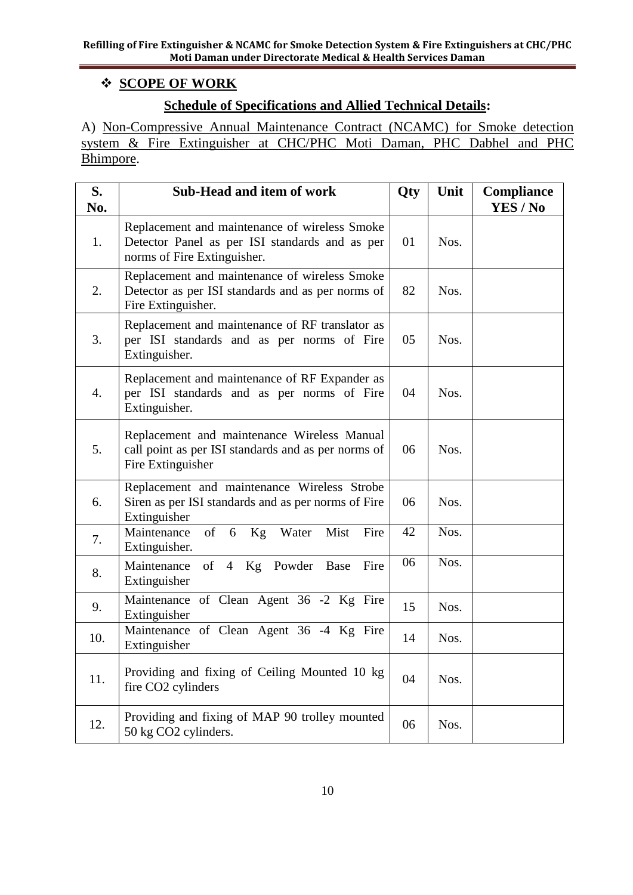# **SCOPE OF WORK**

# **Schedule of Specifications and Allied Technical Details:**

A) Non-Compressive Annual Maintenance Contract (NCAMC) for Smoke detection system & Fire Extinguisher at CHC/PHC Moti Daman, PHC Dabhel and PHC Bhimpore.

| S.<br>No.        | Sub-Head and item of work                                                                                                      | Qty | Unit | Compliance<br>YES / No |
|------------------|--------------------------------------------------------------------------------------------------------------------------------|-----|------|------------------------|
| 1.               | Replacement and maintenance of wireless Smoke<br>Detector Panel as per ISI standards and as per<br>norms of Fire Extinguisher. | 01  | Nos. |                        |
| 2.               | Replacement and maintenance of wireless Smoke<br>Detector as per ISI standards and as per norms of<br>Fire Extinguisher.       | 82  | Nos. |                        |
| 3.               | Replacement and maintenance of RF translator as<br>per ISI standards and as per norms of Fire<br>Extinguisher.                 | 05  | Nos. |                        |
| $\overline{4}$ . | Replacement and maintenance of RF Expander as<br>per ISI standards and as per norms of Fire<br>Extinguisher.                   | 04  | Nos. |                        |
| 5.               | Replacement and maintenance Wireless Manual<br>call point as per ISI standards and as per norms of<br>Fire Extinguisher        | 06  | Nos. |                        |
| 6.               | Replacement and maintenance Wireless Strobe<br>Siren as per ISI standards and as per norms of Fire<br>Extinguisher             | 06  | Nos. |                        |
| 7.               | Maintenance<br>of<br>Mist<br>6<br>Kg Water<br>Fire<br>Extinguisher.                                                            | 42  | Nos. |                        |
| 8.               | 4 Kg Powder<br>Maintenance<br>of<br>Base<br>Fire<br>Extinguisher                                                               | 06  | Nos. |                        |
| 9.               | Maintenance of Clean Agent 36 -2 Kg Fire<br>Extinguisher                                                                       | 15  | Nos. |                        |
| 10.              | Maintenance of Clean Agent 36 -4 Kg Fire<br>Extinguisher                                                                       | 14  | Nos. |                        |
| 11.              | Providing and fixing of Ceiling Mounted 10 kg<br>fire CO2 cylinders                                                            | 04  | Nos. |                        |
| 12.              | Providing and fixing of MAP 90 trolley mounted<br>50 kg CO2 cylinders.                                                         | 06  | Nos. |                        |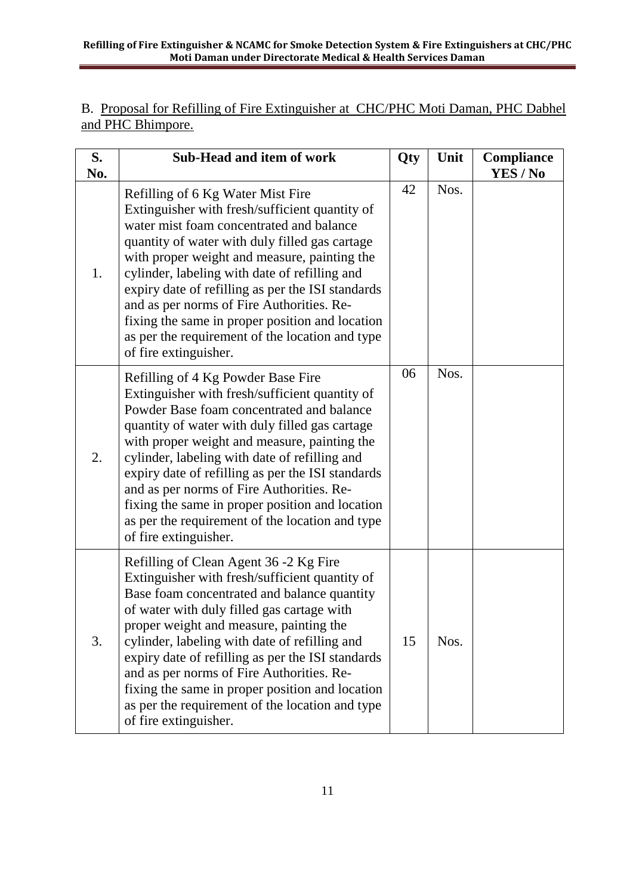B. Proposal for Refilling of Fire Extinguisher at CHC/PHC Moti Daman, PHC Dabhel and PHC Bhimpore.

| S.<br>No. | <b>Sub-Head and item of work</b>                                                                                                                                                                                                                                                                                                                                                                                                                                                                                      | Qty | Unit | <b>Compliance</b><br>YES / No |
|-----------|-----------------------------------------------------------------------------------------------------------------------------------------------------------------------------------------------------------------------------------------------------------------------------------------------------------------------------------------------------------------------------------------------------------------------------------------------------------------------------------------------------------------------|-----|------|-------------------------------|
| 1.        | Refilling of 6 Kg Water Mist Fire<br>Extinguisher with fresh/sufficient quantity of<br>water mist foam concentrated and balance<br>quantity of water with duly filled gas cartage<br>with proper weight and measure, painting the<br>cylinder, labeling with date of refilling and<br>expiry date of refilling as per the ISI standards<br>and as per norms of Fire Authorities. Re-<br>fixing the same in proper position and location<br>as per the requirement of the location and type<br>of fire extinguisher.   | 42  | Nos. |                               |
| 2.        | Refilling of 4 Kg Powder Base Fire<br>Extinguisher with fresh/sufficient quantity of<br>Powder Base foam concentrated and balance<br>quantity of water with duly filled gas cartage<br>with proper weight and measure, painting the<br>cylinder, labeling with date of refilling and<br>expiry date of refilling as per the ISI standards<br>and as per norms of Fire Authorities. Re-<br>fixing the same in proper position and location<br>as per the requirement of the location and type<br>of fire extinguisher. | 06  | Nos. |                               |
| 3.        | Refilling of Clean Agent 36 -2 Kg Fire<br>Extinguisher with fresh/sufficient quantity of<br>Base foam concentrated and balance quantity<br>of water with duly filled gas cartage with<br>proper weight and measure, painting the<br>cylinder, labeling with date of refilling and<br>expiry date of refilling as per the ISI standards<br>and as per norms of Fire Authorities. Re-<br>fixing the same in proper position and location<br>as per the requirement of the location and type<br>of fire extinguisher.    | 15  | Nos. |                               |